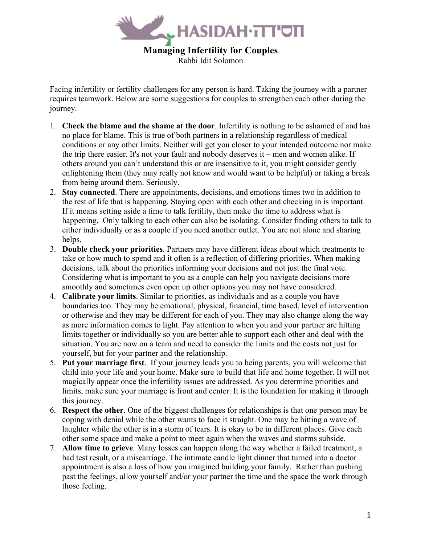

Rabbi Idit Solomon

Facing infertility or fertility challenges for any person is hard. Taking the journey with a partner requires teamwork. Below are some suggestions for couples to strengthen each other during the journey.

- 1. **Check the blame and the shame at the door**. Infertility is nothing to be ashamed of and has no place for blame. This is true of both partners in a relationship regardless of medical conditions or any other limits. Neither will get you closer to your intended outcome nor make the trip there easier. It's not your fault and nobody deserves it – men and women alike. If others around you can't understand this or are insensitive to it, you might consider gently enlightening them (they may really not know and would want to be helpful) or taking a break from being around them. Seriously.
- 2. **Stay connected**. There are appointments, decisions, and emotions times two in addition to the rest of life that is happening. Staying open with each other and checking in is important. If it means setting aside a time to talk fertility, then make the time to address what is happening. Only talking to each other can also be isolating. Consider finding others to talk to either individually or as a couple if you need another outlet. You are not alone and sharing helps.
- 3. **Double check your priorities**. Partners may have different ideas about which treatments to take or how much to spend and it often is a reflection of differing priorities. When making decisions, talk about the priorities informing your decisions and not just the final vote. Considering what is important to you as a couple can help you navigate decisions more smoothly and sometimes even open up other options you may not have considered.
- 4. **Calibrate your limits**. Similar to priorities, as individuals and as a couple you have boundaries too. They may be emotional, physical, financial, time based, level of intervention or otherwise and they may be different for each of you. They may also change along the way as more information comes to light. Pay attention to when you and your partner are hitting limits together or individually so you are better able to support each other and deal with the situation. You are now on a team and need to consider the limits and the costs not just for yourself, but for your partner and the relationship.
- 5. **Put your marriage first**. If your journey leads you to being parents, you will welcome that child into your life and your home. Make sure to build that life and home together. It will not magically appear once the infertility issues are addressed. As you determine priorities and limits, make sure your marriage is front and center. It is the foundation for making it through this journey.
- 6. **Respect the other**. One of the biggest challenges for relationships is that one person may be coping with denial while the other wants to face it straight. One may be hitting a wave of laughter while the other is in a storm of tears. It is okay to be in different places. Give each other some space and make a point to meet again when the waves and storms subside.
- 7. **Allow time to grieve**. Many losses can happen along the way whether a failed treatment, a bad test result, or a miscarriage. The intimate candle light dinner that turned into a doctor appointment is also a loss of how you imagined building your family. Rather than pushing past the feelings, allow yourself and/or your partner the time and the space the work through those feeling.